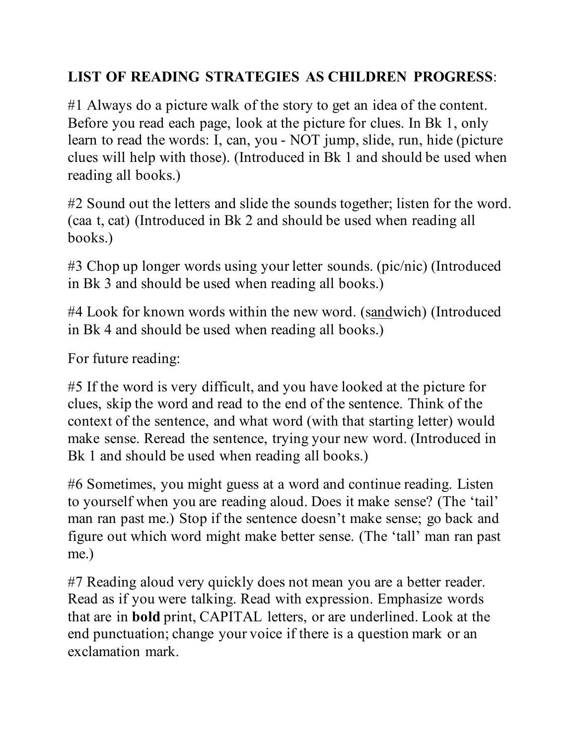## **LIST OF READING STRATEGIES AS CHILDREN PROGRESS**:

#1 Always do a picture walk of the story to get an idea of the content. Before you read each page, look at the picture for clues. In Bk 1, only learn to read the words: I, can, you - NOT jump, slide, run, hide (picture clues will help with those). (Introduced in Bk 1 and should be used when reading all books.)

#2 Sound out the letters and slide the sounds together; listen for the word. (caa t, cat) (Introduced in Bk 2 and should be used when reading all books.)

#3 Chop up longer words using your letter sounds. (pic/nic) (Introduced in Bk 3 and should be used when reading all books.)

#4 Look for known words within the new word. (sandwich) (Introduced in Bk 4 and should be used when reading all books.)

For future reading:

#5 If the word is very difficult, and you have looked at the picture for clues, skip the word and read to the end of the sentence. Think of the context of the sentence, and what word (with that starting letter) would make sense. Reread the sentence, trying your new word. (Introduced in Bk 1 and should be used when reading all books.)

#6 Sometimes, you might guess at a word and continue reading. Listen to yourself when you are reading aloud. Does it make sense? (The 'tail' man ran past me.) Stop if the sentence doesn't make sense; go back and figure out which word might make better sense. (The 'tall' man ran past me.)

#7 Reading aloud very quickly does not mean you are a better reader. Read as if you were talking. Read with expression. Emphasize words that are in **bold** print, CAPITAL letters, or are underlined. Look at the end punctuation; change your voice if there is a question mark or an exclamation mark.